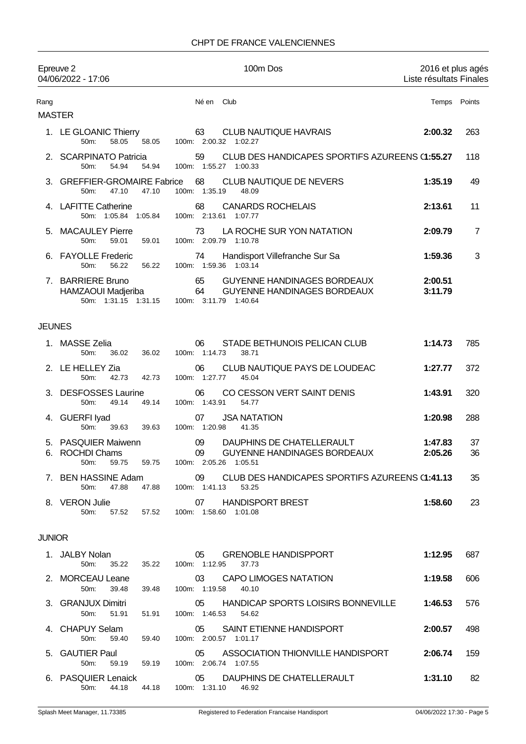## CHPT DE FRANCE VALENCIENNES

|                       | Epreuve 2<br>04/06/2022 - 17:06                                 | 100m Dos                                                                                                      |                    | 2016 et plus agés<br>Liste résultats Finales |  |
|-----------------------|-----------------------------------------------------------------|---------------------------------------------------------------------------------------------------------------|--------------------|----------------------------------------------|--|
| Rang<br><b>MASTER</b> |                                                                 | Né en Club                                                                                                    |                    | Temps Points                                 |  |
|                       | 1. LE GLOANIC Thierry<br>50m:<br>58.05                          | 63<br><b>CLUB NAUTIQUE HAVRAIS</b><br>100m: 2:00.32 1:02.27<br>58.05                                          | 2:00.32            | 263                                          |  |
|                       | 2. SCARPINATO Patricia<br>54.94<br>$50m$ :                      | CLUB DES HANDICAPES SPORTIFS AZUREENS (1:55.27<br>59<br>100m: 1:55.27 1:00.33<br>54.94                        |                    | 118                                          |  |
|                       | 3. GREFFIER-GROMAIRE Fabrice<br>50m:<br>47.10                   | 68<br>CLUB NAUTIQUE DE NEVERS<br>100m: 1:35.19<br>47.10<br>48.09                                              | 1:35.19            | 49                                           |  |
|                       | 4. LAFITTE Catherine<br>50m: 1:05.84 1:05.84                    | 68<br><b>CANARDS ROCHELAIS</b><br>100m: 2:13.61 1:07.77                                                       | 2:13.61            | 11                                           |  |
| 5.                    | <b>MACAULEY Pierre</b><br>50m:<br>59.01                         | LA ROCHE SUR YON NATATION<br>73<br>100m: 2:09.79 1:10.78<br>59.01                                             | 2:09.79            | 7                                            |  |
|                       | 6. FAYOLLE Frederic<br>50 <sub>m</sub> :<br>56.22               | 74<br>Handisport Villefranche Sur Sa<br>100m: 1:59.36 1:03.14<br>56.22                                        | 1:59.36            | 3                                            |  |
|                       | 7. BARRIERE Bruno<br>HAMZAOUI Madjeriba<br>50m: 1:31.15 1:31.15 | 65<br><b>GUYENNE HANDINAGES BORDEAUX</b><br>64<br><b>GUYENNE HANDINAGES BORDEAUX</b><br>100m: 3:11.79 1:40.64 | 2:00.51<br>3:11.79 |                                              |  |
| <b>JEUNES</b>         |                                                                 |                                                                                                               |                    |                                              |  |
|                       | 1. MASSE Zelia<br>50m:<br>36.02                                 | STADE BETHUNOIS PELICAN CLUB<br>06<br>100m: 1:14.73<br>36.02<br>38.71                                         | 1:14.73            | 785                                          |  |
|                       | 2. LE HELLEY Zia<br>42.73<br>50m:                               | CLUB NAUTIQUE PAYS DE LOUDEAC<br>06<br>100m: 1:27.77<br>42.73<br>45.04                                        | 1:27.77            | 372                                          |  |
|                       | 3. DESFOSSES Laurine<br>50m:<br>49.14                           | CO CESSON VERT SAINT DENIS<br>06<br>100m: 1:43.91<br>49.14<br>54.77                                           | 1:43.91            | 320                                          |  |
|                       | 4. GUERFI Iyad<br>50 <sub>m</sub> :<br>39.63                    | 07<br><b>JSA NATATION</b><br>39.63<br>100m: 1:20.98<br>41.35                                                  | 1:20.98            | 288                                          |  |
| 6.                    | 5. PASQUIER Maiwenn<br><b>ROCHDI Chams</b><br>50m:<br>59.75     | DAUPHINS DE CHATELLERAULT<br>09<br>GUYENNE HANDINAGES BORDEAUX<br>09<br>100m: 2:05.26 1:05.51<br>59.75        | 1:47.83<br>2:05.26 | 37<br>36                                     |  |
|                       | 7. BEN HASSINE Adam<br>50m:<br>47.88                            | 09 CLUB DES HANDICAPES SPORTIFS AZUREENS (1:41.13<br>47.88  100m: 1:41.13<br>53.25                            |                    | 35                                           |  |
|                       | 8. VERON Julie<br>57.52<br>50m:                                 | 07 HANDISPORT BREST<br>57.52<br>100m: 1:58.60 1:01.08                                                         | 1:58.60            | 23                                           |  |
| <b>JUNIOR</b>         |                                                                 |                                                                                                               |                    |                                              |  |
|                       | 1. JALBY Nolan<br>35.22<br>50m:                                 | <b>GRENOBLE HANDISPPORT</b><br>05<br>35.22<br>100m: 1:12.95<br>37.73                                          | 1:12.95            | 687                                          |  |
|                       | 2. MORCEAU Leane<br>50m:<br>39.48                               | 03<br><b>CAPO LIMOGES NATATION</b><br>100m: 1:19.58<br>40.10<br>39.48                                         | 1:19.58            | 606                                          |  |
|                       | 3. GRANJUX Dimitri<br>50m:<br>51.91                             | HANDICAP SPORTS LOISIRS BONNEVILLE<br>05<br>51.91<br>100m: 1:46.53<br>54.62                                   | 1:46.53            | 576                                          |  |
|                       | 4. CHAPUY Selam<br>50m:<br>59.40                                | 05 SAINT ETIENNE HANDISPORT<br>59.40<br>100m: 2:00.57 1:01.17                                                 | 2:00.57            | 498                                          |  |
|                       | 5. GAUTIER Paul<br>50m:<br>59.19                                | ASSOCIATION THIONVILLE HANDISPORT<br>05<br>100m: 2:06.74 1:07.55<br>59.19                                     | 2:06.74            | 159                                          |  |
|                       | 6. PASQUIER Lenaick                                             | 05<br>DAUPHINS DE CHATELLERAULT<br>50m: 44.18 44.18 100m: 1:31.10 46.92                                       | 1:31.10            | 82                                           |  |